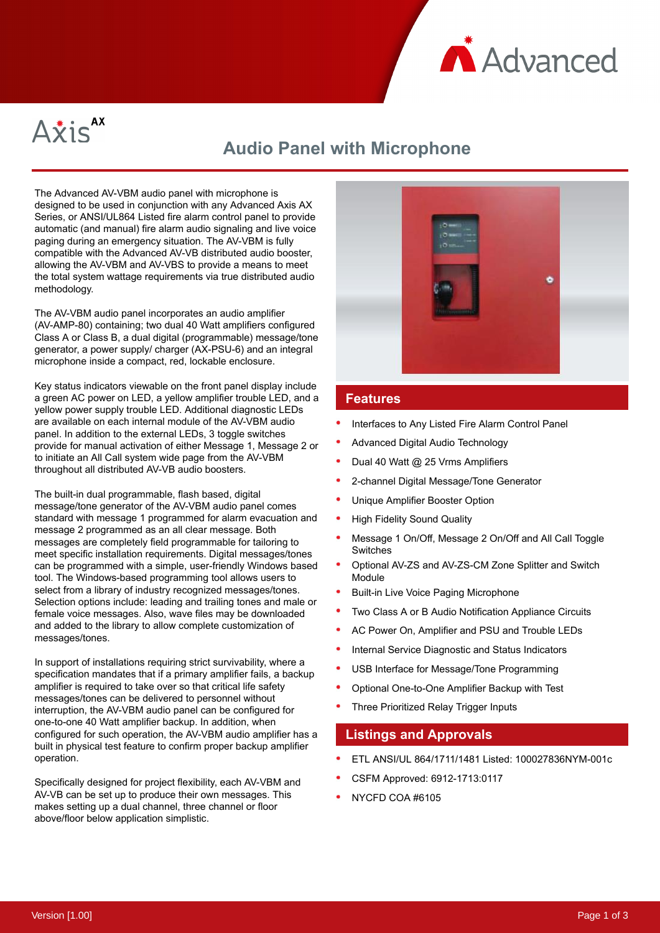



# **Audio Panel with Microphone**

The Advanced AV-VBM audio panel with microphone is designed to be used in conjunction with any Advanced Axis AX Series, or ANSI/UL864 Listed fire alarm control panel to provide automatic (and manual) fire alarm audio signaling and live voice paging during an emergency situation. The AV-VBM is fully compatible with the Advanced AV-VB distributed audio booster, allowing the AV-VBM and AV-VBS to provide a means to meet the total system wattage requirements via true distributed audio methodology.

The AV-VBM audio panel incorporates an audio amplifier (AV-AMP-80) containing; two dual 40 Watt amplifiers configured Class A or Class B, a dual digital (programmable) message/tone generator, a power supply/ charger (AX-PSU-6) and an integral microphone inside a compact, red, lockable enclosure.

Key status indicators viewable on the front panel display include a green AC power on LED, a yellow amplifier trouble LED, and a yellow power supply trouble LED. Additional diagnostic LEDs are available on each internal module of the AV-VBM audio panel. In addition to the external LEDs, 3 toggle switches provide for manual activation of either Message 1, Message 2 or to initiate an All Call system wide page from the AV-VBM throughout all distributed AV-VB audio boosters.

The built-in dual programmable, flash based, digital message/tone generator of the AV-VBM audio panel comes standard with message 1 programmed for alarm evacuation and message 2 programmed as an all clear message. Both messages are completely field programmable for tailoring to meet specific installation requirements. Digital messages/tones can be programmed with a simple, user-friendly Windows based tool. The Windows-based programming tool allows users to select from a library of industry recognized messages/tones. Selection options include: leading and trailing tones and male or female voice messages. Also, wave files may be downloaded and added to the library to allow complete customization of messages/tones.

In support of installations requiring strict survivability, where a specification mandates that if a primary amplifier fails, a backup amplifier is required to take over so that critical life safety messages/tones can be delivered to personnel without interruption, the AV-VBM audio panel can be configured for one-to-one 40 Watt amplifier backup. In addition, when configured for such operation, the AV-VBM audio amplifier has a built in physical test feature to confirm proper backup amplifier operation.

Specifically designed for project flexibility, each AV-VBM and AV-VB can be set up to produce their own messages. This makes setting up a dual channel, three channel or floor above/floor below application simplistic.



#### **Features**

- Interfaces to Any Listed Fire Alarm Control Panel
- Advanced Digital Audio Technology
- Dual 40 Watt @ 25 Vrms Amplifiers
- 2-channel Digital Message/Tone Generator
- Unique Amplifier Booster Option
- High Fidelity Sound Quality
- Message 1 On/Off, Message 2 On/Off and All Call Toggle Switches
- Optional AV-ZS and AV-ZS-CM Zone Splitter and Switch Module
- Built-in Live Voice Paging Microphone
- Two Class A or B Audio Notification Appliance Circuits
- AC Power On, Amplifier and PSU and Trouble LEDs
- Internal Service Diagnostic and Status Indicators
- USB Interface for Message/Tone Programming
- Optional One-to-One Amplifier Backup with Test
- Three Prioritized Relay Trigger Inputs

### **Listings and Approvals**

- ETL ANSI/UL 864/1711/1481 Listed: 100027836NYM-001c
- CSFM Approved: 6912-1713:0117
- NYCFD COA #6105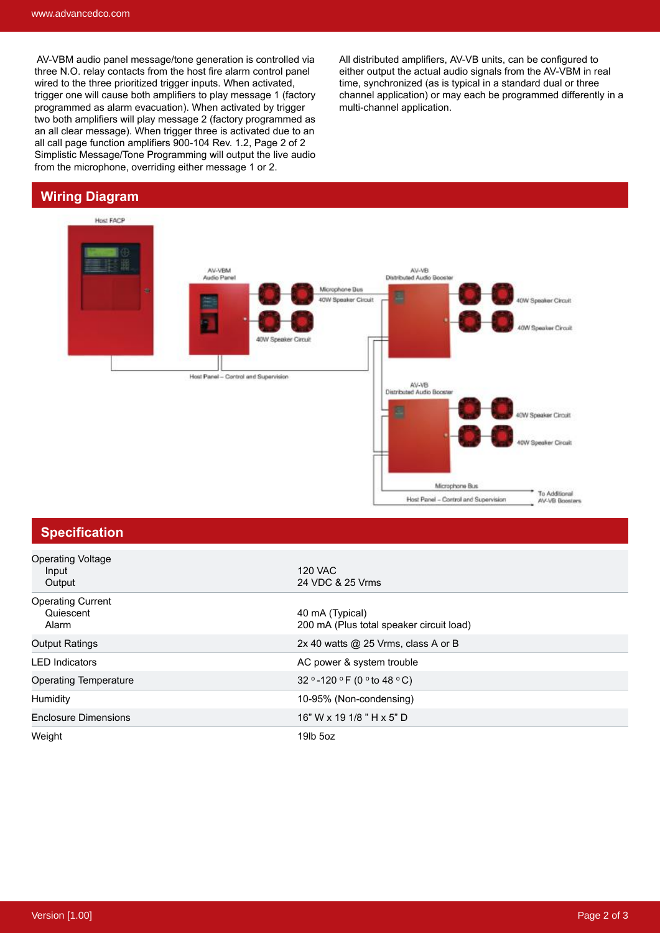AV-VBM audio panel message/tone generation is controlled via three N.O. relay contacts from the host fire alarm control panel wired to the three prioritized trigger inputs. When activated, trigger one will cause both amplifiers to play message 1 (factory programmed as alarm evacuation). When activated by trigger two both amplifiers will play message 2 (factory programmed as an all clear message). When trigger three is activated due to an all call page function amplifiers 900-104 Rev. 1.2, Page 2 of 2 Simplistic Message/Tone Programming will output the live audio from the microphone, overriding either message 1 or 2.

### **Wiring Diagram**



### **Specification**

| <b>Operating Voltage</b><br>Input<br>Output    | 120 VAC<br>24 VDC & 25 Vrms                                 |
|------------------------------------------------|-------------------------------------------------------------|
| <b>Operating Current</b><br>Quiescent<br>Alarm | 40 mA (Typical)<br>200 mA (Plus total speaker circuit load) |
| <b>Output Ratings</b>                          | 2x 40 watts $@$ 25 Vrms, class A or B                       |
| <b>LED</b> Indicators                          | AC power & system trouble                                   |
| <b>Operating Temperature</b>                   | 32 ° -120 ° F (0 ° to 48 ° C)                               |
| Humidity                                       | 10-95% (Non-condensing)                                     |
| <b>Enclosure Dimensions</b>                    | 16" W x 19 1/8 " H x 5" D                                   |
| Weight                                         | 19lb 5oz                                                    |

All distributed amplifiers, AV-VB units, can be configured to either output the actual audio signals from the AV-VBM in real time, synchronized (as is typical in a standard dual or three channel application) or may each be programmed differently in a multi-channel application.

Microphone Bus

Host Panel - Control and Supervision

To Additional<br>AV-VB Boosters